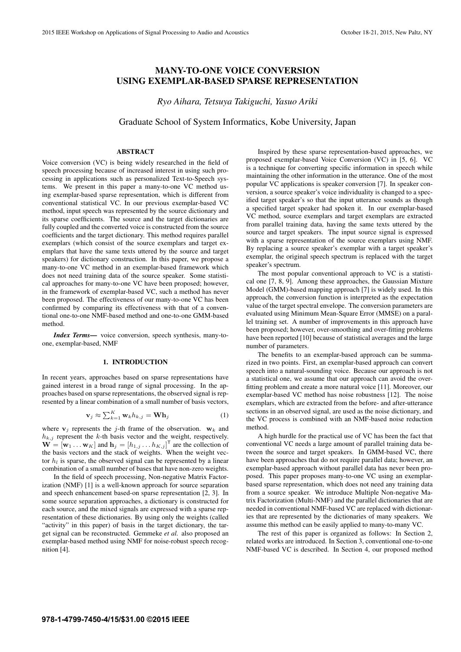# MANY-TO-ONE VOICE CONVERSION USING EXEMPLAR-BASED SPARSE REPRESENTATION

*Ryo Aihara, Tetsuya Takiguchi, Yasuo Ariki*

Graduate School of System Informatics, Kobe University, Japan

# ABSTRACT

Voice conversion (VC) is being widely researched in the field of speech processing because of increased interest in using such processing in applications such as personalized Text-to-Speech systems. We present in this paper a many-to-one VC method using exemplar-based sparse representation, which is different from conventional statistical VC. In our previous exemplar-based VC method, input speech was represented by the source dictionary and its sparse coefficients. The source and the target dictionaries are fully coupled and the converted voice is constructed from the source coefficients and the target dictionary. This method requires parallel exemplars (which consist of the source exemplars and target exemplars that have the same texts uttered by the source and target speakers) for dictionary construction. In this paper, we propose a many-to-one VC method in an exemplar-based framework which does not need training data of the source speaker. Some statistical approaches for many-to-one VC have been proposed; however, in the framework of exemplar-based VC, such a method has never been proposed. The effectiveness of our many-to-one VC has been confirmed by comparing its effectiveness with that of a conventional one-to-one NMF-based method and one-to-one GMM-based method.

*Index Terms*— voice conversion, speech synthesis, many-toone, exemplar-based, NMF

#### 1. INTRODUCTION

In recent years, approaches based on sparse representations have gained interest in a broad range of signal processing. In the approaches based on sparse representations, the observed signal is represented by a linear combination of a small number of basis vectors,

$$
\mathbf{v}_j \approx \sum_{k=1}^K \mathbf{w}_k h_{k,j} = \mathbf{W} \mathbf{h}_j \tag{1}
$$

where  $\mathbf{v}_i$  represents the *j*-th frame of the observation.  $\mathbf{w}_k$  and  $h_{k,j}$  represent the *k*-th basis vector and the weight, respectively.  $\mathbf{W} = [\mathbf{w}_1 \dots \mathbf{w}_K]$  and  $\mathbf{h}_j = [h_{1,j} \dots h_{K,j}]^\mathsf{T}$  are the collection of the basis vectors and the stack of weights. When the weight vector  $h_l$  is sparse, the observed signal can be represented by a linear combination of a small number of bases that have non-zero weights.

In the field of speech processing, Non-negative Matrix Factorization (NMF) [1] is a well-known approach for source separation and speech enhancement based-on sparse representation [2, 3]. In some source separation approaches, a dictionary is constructed for each source, and the mixed signals are expressed with a sparse representation of these dictionaries. By using only the weights (called "activity" in this paper) of basis in the target dictionary, the target signal can be reconstructed. Gemmeke *et al.* also proposed an exemplar-based method using NMF for noise-robust speech recognition [4].

Inspired by these sparse representation-based approaches, we proposed exemplar-based Voice Conversion (VC) in [5, 6]. VC is a technique for converting specific information in speech while maintaining the other information in the utterance. One of the most popular VC applications is speaker conversion [7]. In speaker conversion, a source speaker's voice individuality is changed to a specified target speaker's so that the input utterance sounds as though a specified target speaker had spoken it. In our exemplar-based VC method, source exemplars and target exemplars are extracted from parallel training data, having the same texts uttered by the source and target speakers. The input source signal is expressed with a sparse representation of the source exemplars using NMF. By replacing a source speaker's exemplar with a target speaker's exemplar, the original speech spectrum is replaced with the target speaker's spectrum.

The most popular conventional approach to VC is a statistical one [7, 8, 9]. Among these approaches, the Gaussian Mixture Model (GMM)-based mapping approach [7] is widely used. In this approach, the conversion function is interpreted as the expectation value of the target spectral envelope. The conversion parameters are evaluated using Minimum Mean-Square Error (MMSE) on a parallel training set. A number of improvements in this approach have been proposed; however, over-smoothing and over-fitting problems have been reported [10] because of statistical averages and the large number of parameters.

The benefits to an exemplar-based approach can be summarized in two points. First, an exemplar-based approach can convert speech into a natural-sounding voice. Because our approach is not a statistical one, we assume that our approach can avoid the overfitting problem and create a more natural voice [11]. Moreover, our exemplar-based VC method has noise robustness [12]. The noise exemplars, which are extracted from the before- and after-utterance sections in an observed signal, are used as the noise dictionary, and the VC process is combined with an NMF-based noise reduction method.

A high hurdle for the practical use of VC has been the fact that conventional VC needs a large amount of parallel training data between the source and target speakers. In GMM-based VC, there have been approaches that do not require parallel data; however, an exemplar-based approach without parallel data has never been proposed. This paper proposes many-to-one VC using an exemplarbased sparse representation, which does not need any training data from a source speaker. We introduce Multiple Non-negative Matrix Factorization (Multi-NMF) and the parallel dictionaries that are needed in conventional NMF-based VC are replaced with dictionaries that are represented by the dictionaries of many speakers. We assume this method can be easily applied to many-to-many VC.

The rest of this paper is organized as follows: In Section 2, related works are introduced. In Section 3, conventional one-to-one NMF-based VC is described. In Section 4, our proposed method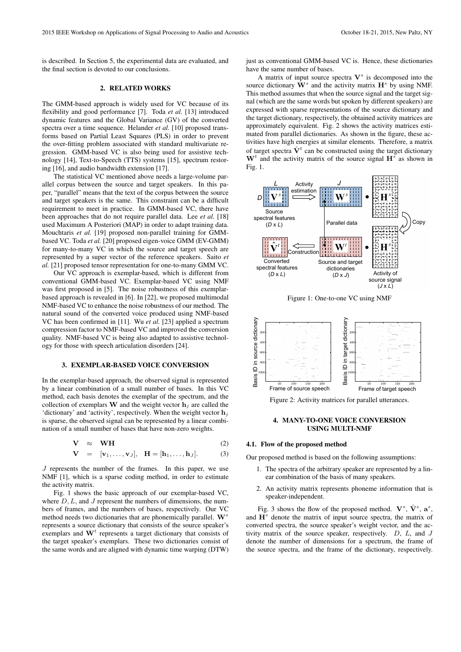is described. In Section 5, the experimental data are evaluated, and the final section is devoted to our conclusions.

# 2. RELATED WORKS

The GMM-based approach is widely used for VC because of its flexibility and good performance [7]. Toda *et al.* [13] introduced dynamic features and the Global Variance (GV) of the converted spectra over a time sequence. Helander *et al.* [10] proposed transforms based on Partial Least Squares (PLS) in order to prevent the over-fitting problem associated with standard multivariate regression. GMM-based VC is also being used for assistive technology [14], Text-to-Speech (TTS) systems [15], spectrum restoring [16], and audio bandwidth extension [17].

The statistical VC mentioned above needs a large-volume parallel corpus between the source and target speakers. In this paper, "parallel" means that the text of the corpus between the source and target speakers is the same. This constraint can be a difficult requirement to meet in practice. In GMM-based VC, there have been approaches that do not require parallel data. Lee *et al.* [18] used Maximum A Posteriori (MAP) in order to adapt training data. Mouchtaris *et al.* [19] proposed non-parallel training for GMMbased VC. Toda *et al.* [20] proposed eigen-voice GMM (EV-GMM) for many-to-many VC in which the source and target speech are represented by a super vector of the reference speakers. Saito *et al.* [21] proposed tensor representation for one-to-many GMM VC.

Our VC approach is exemplar-based, which is different from conventional GMM-based VC. Exemplar-based VC using NMF was first proposed in [5]. The noise robustness of this exemplarbased approach is revealed in [6]. In [22], we proposed multimodal NMF-based VC to enhance the noise robustness of our method. The natural sound of the converted voice produced using NMF-based VC has been confirmed in [11]. Wu *et al.* [23] applied a spectrum compression factor to NMF-based VC and improved the conversion quality. NMF-based VC is being also adapted to assistive technology for those with speech articulation disorders [24].

### 3. EXEMPLAR-BASED VOICE CONVERSION

In the exemplar-based approach, the observed signal is represented by a linear combination of a small number of bases. In this VC method, each basis denotes the exemplar of the spectrum, and the collection of exemplars **W** and the weight vector  $\mathbf{h}_i$  are called the 'dictionary' and 'activity', respectively. When the weight vector **h***<sup>j</sup>* is sparse, the observed signal can be represented by a linear combination of a small number of bases that have non-zero weights.

$$
\mathbf{V} \quad \approx \quad \mathbf{WH} \tag{2}
$$

$$
\mathbf{V} = [\mathbf{v}_1, \dots, \mathbf{v}_J], \quad \mathbf{H} = [\mathbf{h}_1, \dots, \mathbf{h}_J]. \tag{3}
$$

*J* represents the number of the frames. In this paper, we use NMF [1], which is a sparse coding method, in order to estimate the activity matrix.

Fig. 1 shows the basic approach of our exemplar-based VC, where *D, L,* and *J* represent the numbers of dimensions, the numbers of frames, and the numbers of bases, respectively. Our VC method needs two dictionaries that are phonemically parallel. **W***<sup>s</sup>* represents a source dictionary that consists of the source speaker's exemplars and **W***<sup>t</sup>* represents a target dictionary that consists of the target speaker's exemplars. These two dictionaries consist of the same words and are aligned with dynamic time warping (DTW)

just as conventional GMM-based VC is. Hence, these dictionaries have the same number of bases.

A matrix of input source spectra **V***<sup>s</sup>* is decomposed into the source dictionary  $\tilde{\mathbf{W}}^s$  and the activity matrix  $\mathbf{H}^s$  by using NMF. This method assumes that when the source signal and the target signal (which are the same words but spoken by different speakers) are expressed with sparse representations of the source dictionary and the target dictionary, respectively, the obtained activity matrices are approximately equivalent. Fig. 2 shows the activity matrices estimated from parallel dictionaries. As shown in the figure, these activities have high energies at similar elements. Therefore, a matrix of target spectra  $\hat{\mathbf{V}}^t$  can be constructed using the target dictionary  $W<sup>t</sup>$  and the activity matrix of the source signal  $H<sup>s</sup>$  as shown in Fig. 1.



Figure 1: One-to-one VC using NMF



Figure 2: Activity matrices for parallel utterances.

# 4. MANY-TO-ONE VOICE CONVERSION USING MULTI-NMF

# 4.1. Flow of the proposed method

Our proposed method is based on the following assumptions:

- 1. The spectra of the arbitrary speaker are represented by a linear combination of the basis of many speakers.
- 2. An activity matrix represents phoneme information that is speaker-independent.

Fig. 3 shows the flow of the proposed method.  $V^s$ ,  $\hat{V}^s$ ,  $\mathbf{a}^s$ , and **H***<sup>s</sup>* denote the matrix of input source spectra, the matrix of converted spectra, the source speaker's weight vector, and the activity matrix of the source speaker, respectively. *D*, *L*, and *J* denote the number of dimensions for a spectrum, the frame of the source spectra, and the frame of the dictionary, respectively.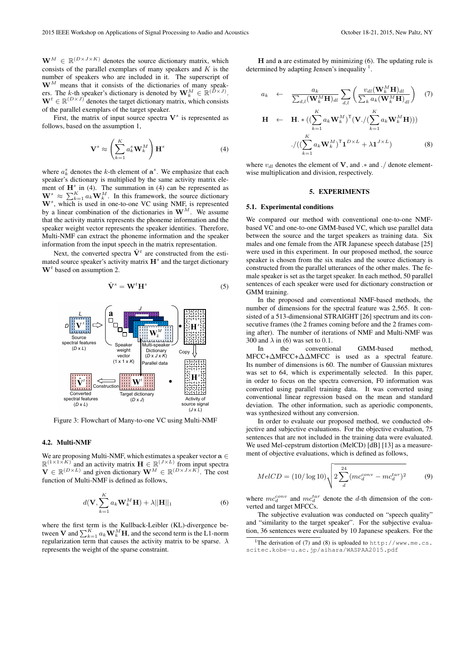$W^M \in \mathbb{R}^{(D \times J \times K)}$  denotes the source dictionary matrix, which consists of the parallel exemplars of many speakers and *K* is the number of speakers who are included in it. The superscript of  $W^M$  means that it consists of the dictionaries of many speakers. The *k*-th speaker's dictionary is denoted by  $\mathbf{W}_k^M \in \mathbb{R}^{(D \times J)}$ .  $W^t \in \mathbb{R}^{(D \times J)}$  denotes the target dictionary matrix, which consists of the parallel exemplars of the target speaker.

First, the matrix of input source spectra **V***<sup>s</sup>* is represented as follows, based on the assumption 1,

$$
\mathbf{V}^{s} \approx \left(\sum_{k=1}^{K} a_{k}^{s} \mathbf{W}_{k}^{M}\right) \mathbf{H}^{s}
$$
 (4)

where  $a_k^s$  denotes the *k*-th element of  $\mathbf{a}^s$ . We emphasize that each speaker's dictionary is multiplied by the same activity matrix element of  $\mathbf{H}^s$  in (4). The summation in (4) can be represented as  $\mathbf{W}^s \approx \sum_{k=1}^K a_k \mathbf{W}_k^M$ . In this framework, the source dictionary **W***<sup>s</sup>* , which is used in one-to-one VC using NMF, is represented by a linear combination of the dictionaries in  $W^M$ . We assume that the activity matrix represents the phoneme information and the speaker weight vector represents the speaker identities. Therefore, Multi-NMF can extract the phoneme information and the speaker information from the input speech in the matrix representation.

Next, the converted spectra  $\hat{V}^t$  are constructed from the estimated source speaker's activity matrix **H***<sup>s</sup>* and the target dictionary **W***<sup>t</sup>* based on assumption 2.

$$
\hat{\mathbf{V}}^s = \mathbf{W}^t \mathbf{H}^s \tag{5}
$$



Figure 3: Flowchart of Many-to-one VC using Multi-NMF

#### 4.2. Multi-NMF

We are proposing Multi-NMF, which estimates a speaker vector **a** *∈*  $\mathbb{R}^{(1 \times 1 \times K)}$  and an activity matrix  $\mathbf{H} \in \mathbb{R}^{(J \times L)}$  from input spectra  $\mathbf{V} \in \mathbb{R}^{(D \times L)}$  and given dictionary  $\mathbf{W}^{M} \in \mathbb{R}^{(D \times J \times K)}$ . The cost function of Multi-NMF is defined as follows,

$$
d(\mathbf{V}, \sum_{k=1}^{K} a_k \mathbf{W}_k^M \mathbf{H}) + \lambda ||\mathbf{H}||_1
$$
 (6)

where the first term is the Kullback-Leibler (KL)-divergence between **V** and  $\sum_{k=1}^{K} a_k \mathbf{W}_k^M \mathbf{H}$ , and the second term is the L1-norm regularization term that causes the activity matrix to be sparse. *λ* represents the weight of the sparse constraint.

**H** and **a** are estimated by minimizing (6). The updating rule is determined by adapting Jensen's inequality<sup>1</sup>.

$$
a_k \leftarrow \frac{a_k}{\sum_{d,l} (\mathbf{W}_k^M \mathbf{H})_{dl}} \sum_{d,l} \left( \frac{v_{dl} (\mathbf{W}_k^M \mathbf{H})_{dl}}{\sum_k a_k (\mathbf{W}_k^M \mathbf{H})_{dl}} \right) \quad (7)
$$
  

$$
\mathbf{H} \leftarrow \mathbf{H} \cdot * ((\sum_{k=1}^K a_k \mathbf{W}_k^M)^{\mathsf{T}} (\mathbf{V}./(\sum_{k=1}^K a_k \mathbf{W}_k^M \mathbf{H})))
$$

$$
./((\sum_{k=1}^{K} a_k \mathbf{W}_k^M)^{\mathsf{T}} \mathbf{1}^{D \times L} + \lambda \mathbf{1}^{J \times L})
$$
(8)

where *vdl* denotes the element of **V**, and *.∗* and *./* denote elementwise multiplication and division, respectively.

# 5. EXPERIMENTS

#### 5.1. Experimental conditions

We compared our method with conventional one-to-one NMFbased VC and one-to-one GMM-based VC, which use parallel data between the source and the target speakers as training data. Six males and one female from the ATR Japanese speech database [25] were used in this experiment. In our proposed method, the source speaker is chosen from the six males and the source dictionary is constructed from the parallel utterances of the other males. The female speaker is set as the target speaker. In each method, 50 parallel sentences of each speaker were used for dictionary construction or GMM training.

In the proposed and conventional NMF-based methods, the number of dimensions for the spectral feature was 2,565. It consisted of a 513-dimensional STRAIGHT [26] spectrum and its consecutive frames (the 2 frames coming before and the 2 frames coming after). The number of iterations of NMF and Multi-NMF was 300 and  $\lambda$  in (6) was set to 0.1.

In the conventional GMM-based method, MFCC+∆MFCC+∆∆MFCC is used as a spectral feature. Its number of dimensions is 60. The number of Gaussian mixtures was set to 64, which is experimentally selected. In this paper, in order to focus on the spectra conversion, F0 information was converted using parallel training data. It was converted using conventional linear regression based on the mean and standard deviation. The other information, such as aperiodic components, was synthesized without any conversion.

In order to evaluate our proposed method, we conducted objective and subjective evaluations. For the objective evaluation, 75 sentences that are not included in the training data were evaluated. We used Mel-cepstrum distortion (MelCD) [dB] [13] as a measurement of objective evaluations, which is defined as follows,

$$
MelCD = (10/\log 10) \sqrt{2 \sum_{d}^{24} (mc_d^{conv} - mc_d^{tar})^2}
$$
 (9)

where  $mc_d^{conv}$  and  $mc_d^{tar}$  denote the *d*-th dimension of the converted and target MFCCs.

The subjective evaluation was conducted on "speech quality" and "similarity to the target speaker". For the subjective evaluation, 36 sentences were evaluated by 10 Japanese speakers. For the

<sup>&</sup>lt;sup>1</sup>The derivation of (7) and (8) is uploaded to http://www.me.cs. scitec.kobe-u.ac.jp/aihara/WASPAA2015.pdf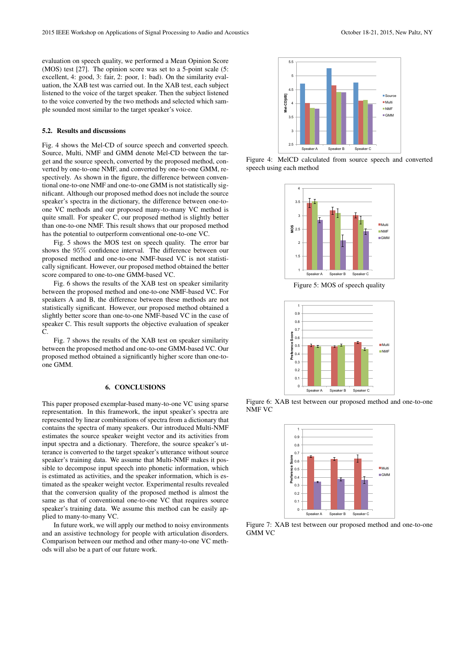evaluation on speech quality, we performed a Mean Opinion Score (MOS) test [27]. The opinion score was set to a 5-point scale (5: excellent, 4: good, 3: fair, 2: poor, 1: bad). On the similarity evaluation, the XAB test was carried out. In the XAB test, each subject listened to the voice of the target speaker. Then the subject listened to the voice converted by the two methods and selected which sample sounded most similar to the target speaker's voice.

# 5.2. Results and discussions

Fig. 4 shows the Mel-CD of source speech and converted speech. Source, Multi, NMF and GMM denote Mel-CD between the target and the source speech, converted by the proposed method, converted by one-to-one NMF, and converted by one-to-one GMM, respectively. As shown in the figure, the difference between conventional one-to-one NMF and one-to-one GMM is not statistically significant. Although our proposed method does not include the source speaker's spectra in the dictionary, the difference between one-toone VC methods and our proposed many-to-many VC method is quite small. For speaker C, our proposed method is slightly better than one-to-one NMF. This result shows that our proposed method has the potential to outperform conventional one-to-one VC.

Fig. 5 shows the MOS test on speech quality. The error bar shows the 95% confidence interval. The difference between our proposed method and one-to-one NMF-based VC is not statistically significant. However, our proposed method obtained the better score compared to one-to-one GMM-based VC.

Fig. 6 shows the results of the XAB test on speaker similarity between the proposed method and one-to-one NMF-based VC. For speakers A and B, the difference between these methods are not statistically significant. However, our proposed method obtained a slightly better score than one-to-one NMF-based VC in the case of speaker C. This result supports the objective evaluation of speaker C.

Fig. 7 shows the results of the XAB test on speaker similarity between the proposed method and one-to-one GMM-based VC. Our proposed method obtained a significantly higher score than one-toone GMM.

## 6. CONCLUSIONS

This paper proposed exemplar-based many-to-one VC using sparse representation. In this framework, the input speaker's spectra are represented by linear combinations of spectra from a dictionary that contains the spectra of many speakers. Our introduced Multi-NMF estimates the source speaker weight vector and its activities from input spectra and a dictionary. Therefore, the source speaker's utterance is converted to the target speaker's utterance without source speaker's training data. We assume that Multi-NMF makes it possible to decompose input speech into phonetic information, which is estimated as activities, and the speaker information, which is estimated as the speaker weight vector. Experimental results revealed that the conversion quality of the proposed method is almost the same as that of conventional one-to-one VC that requires source speaker's training data. We assume this method can be easily applied to many-to-many VC.

In future work, we will apply our method to noisy environments and an assistive technology for people with articulation disorders. Comparison between our method and other many-to-one VC methods will also be a part of our future work.



Figure 4: MelCD calculated from source speech and converted speech using each method



Figure 5: MOS of speech quality



Figure 6: XAB test between our proposed method and one-to-one NMF VC



Figure 7: XAB test between our proposed method and one-to-one GMM VC